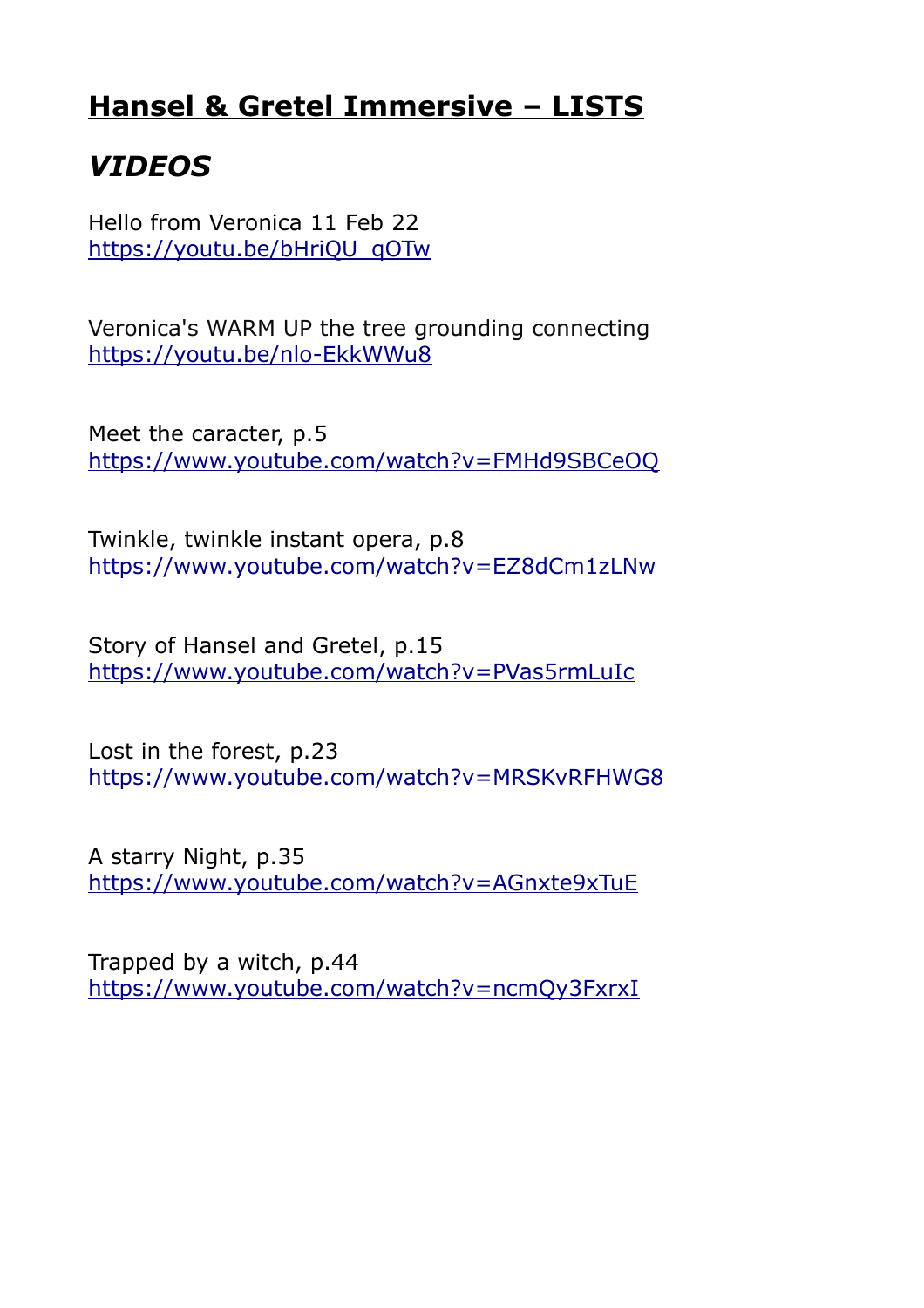## **Hansel & Gretel Immersive – LISTS**

# *VIDEOS*

Hello from Veronica 11 Feb 22 [https://youtu.be/bHriQU\\_qOTw](https://youtu.be/bHriQU_qOTw)

Veronica's WARM UP the tree grounding connecting <https://youtu.be/nlo-EkkWWu8>

Meet the caracter, p.5 <https://www.youtube.com/watch?v=FMHd9SBCeOQ>

Twinkle, twinkle instant opera, p.8 <https://www.youtube.com/watch?v=EZ8dCm1zLNw>

Story of Hansel and Gretel, p.15 <https://www.youtube.com/watch?v=PVas5rmLuIc>

Lost in the forest, p.23 <https://www.youtube.com/watch?v=MRSKvRFHWG8>

A starry Night, p.35 <https://www.youtube.com/watch?v=AGnxte9xTuE>

Trapped by a witch, p.44 <https://www.youtube.com/watch?v=ncmQy3FxrxI>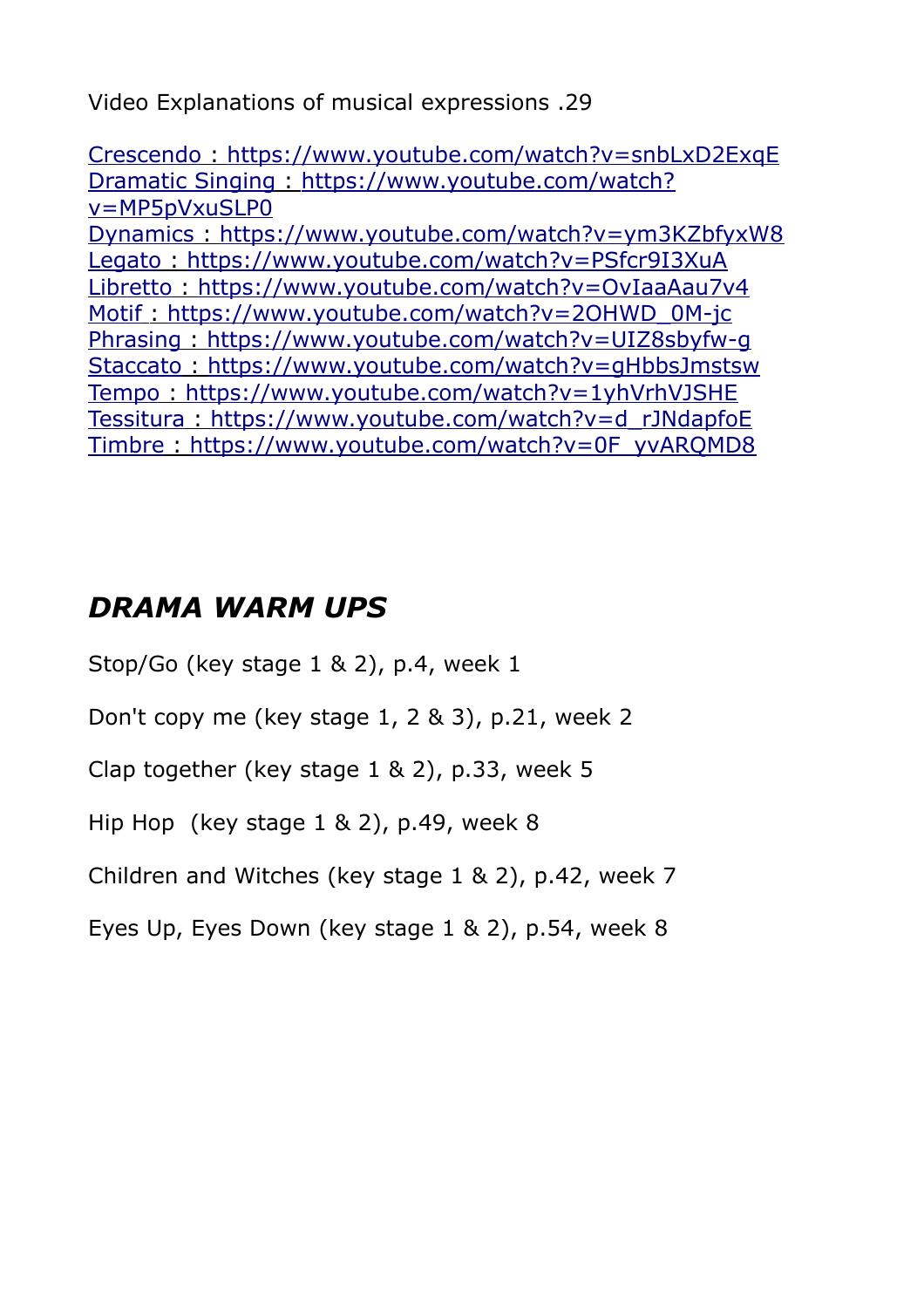Video Explanations of musical expressions .29

 [Crescendo](https://youtu.be/snbLxD2ExqE) :<https://www.youtube.com/watch?v=snbLxD2ExqE> Dramatic Singing: [https://www.youtube.com/watch?](https://www.youtube.com/watch?v=MP5pVxuSLP0) [v=MP5pVxuSLP0](https://www.youtube.com/watch?v=MP5pVxuSLP0)  [Dynamics](https://youtu.be/ym3KZbfyxW8) :<https://www.youtube.com/watch?v=ym3KZbfyxW8> Legato: <https://www.youtube.com/watch?v=PSfcr9I3XuA> Libretto: <https://www.youtube.com/watch?v=OvIaaAau7v4> Motif : [https://www.youtube.com/watch?v=2OHWD\\_0M-jc](https://www.youtube.com/watch?v=2OHWD_0M-jc) Phrasing: <https://www.youtube.com/watch?v=UIZ8sbyfw-g>  [Staccato](https://youtu.be/gHbbsJmstsw) :<https://www.youtube.com/watch?v=gHbbsJmstsw>  [Tempo](https://youtu.be/1yhVrhVJSHE) :<https://www.youtube.com/watch?v=1yhVrhVJSHE>  [Tessitura](https://youtu.be/d_rJNdapfoE) :[https://www.youtube.com/watch?v=d\\_rJNdapfoE](https://www.youtube.com/watch?v=d_rJNdapfoE) Timbre: [https://www.youtube.com/watch?v=0F\\_yvARQMD8](https://www.youtube.com/watch?v=0F_yvARQMD8)

## *DRAMA WARM UPS*

Stop/Go (key stage 1 & 2), p.4, week 1

Don't copy me (key stage 1, 2 & 3), p.21, week 2

Clap together (key stage 1 & 2), p.33, week 5

Hip Hop (key stage 1 & 2), p.49, week 8

Children and Witches (key stage 1 & 2), p.42, week 7

Eyes Up, Eyes Down (key stage 1 & 2), p.54, week 8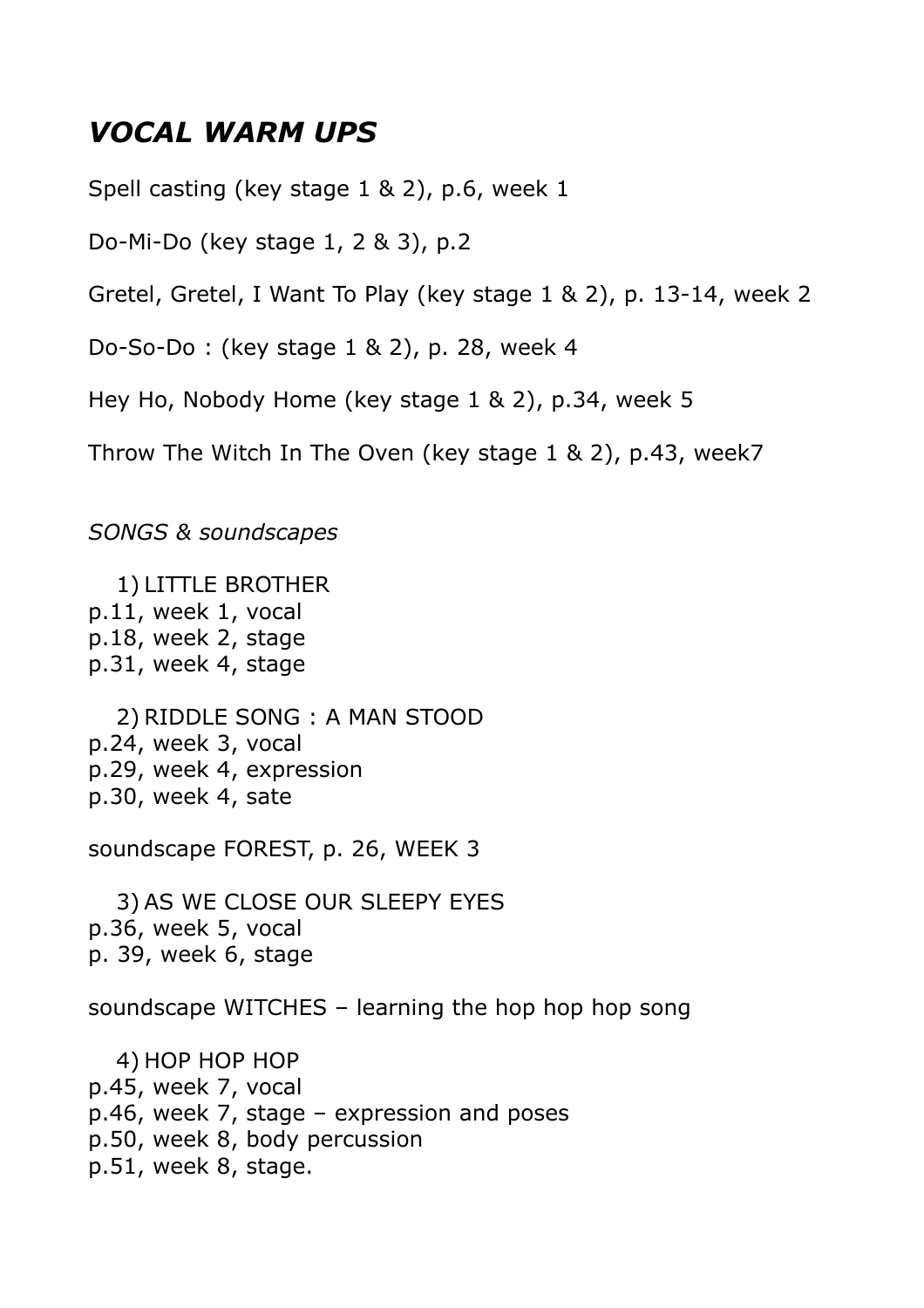#### *VOCAL WARM UPS*

Spell casting (key stage 1 & 2), p.6, week 1

Do-Mi-Do (key stage 1, 2 & 3), p.2

Gretel, Gretel, I Want To Play (key stage 1 & 2), p. 13-14, week 2

Do-So-Do : (key stage 1 & 2), p. 28, week 4

Hey Ho, Nobody Home (key stage 1 & 2), p.34, week 5

Throw The Witch In The Oven (key stage 1 & 2), p.43, week7

*SONGS & soundscapes*

1) LITTLE BROTHER p.11, week 1, vocal p.18, week 2, stage p.31, week 4, stage

2) RIDDLE SONG : A MAN STOOD p.24, week 3, vocal p.29, week 4, expression p.30, week 4, sate

soundscape FOREST, p. 26, WEEK 3

3) AS WE CLOSE OUR SLEEPY EYES p.36, week 5, vocal p. 39, week 6, stage

soundscape WITCHES – learning the hop hop hop song

4) HOP HOP HOP p.45, week 7, vocal p.46, week 7, stage – expression and poses p.50, week 8, body percussion p.51, week 8, stage.